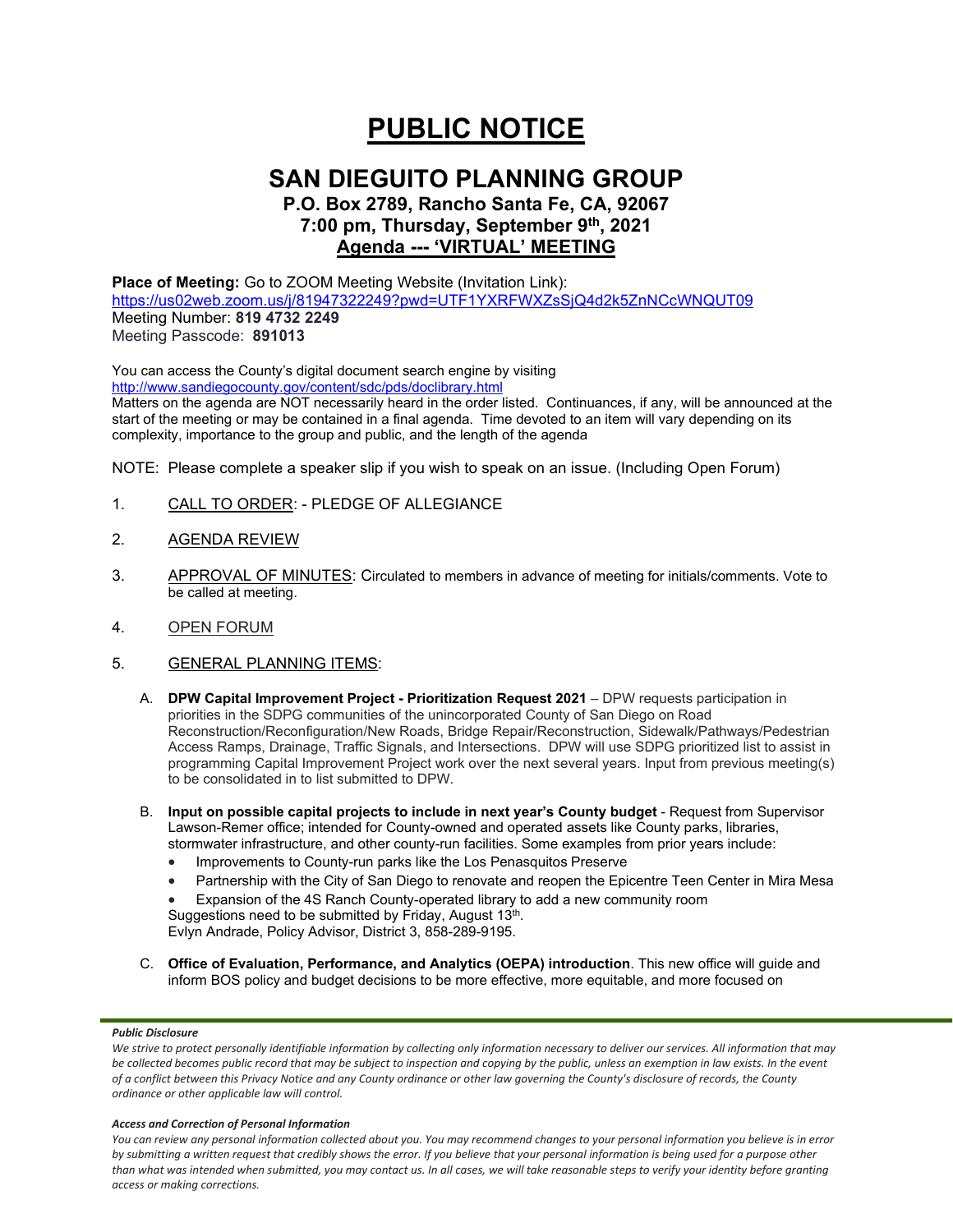# **PUBLIC NOTICE**

## **SAN DIEGUITO PLANNING GROUP**

## **P.O. Box 2789, Rancho Santa Fe, CA, 92067 7:00 pm, Thursday, September 9th, 2021 Agenda --- 'VIRTUAL' MEETING**

**Place of Meeting:** Go to ZOOM Meeting Website (Invitation Link): <https://us02web.zoom.us/j/81947322249?pwd=UTF1YXRFWXZsSjQ4d2k5ZnNCcWNQUT09> Meeting Number: **819 4732 2249** Meeting Passcode: **891013**

You can access the County's digital document search engine by visiting <http://www.sandiegocounty.gov/content/sdc/pds/doclibrary.html>

Matters on the agenda are NOT necessarily heard in the order listed. Continuances, if any, will be announced at the start of the meeting or may be contained in a final agenda. Time devoted to an item will vary depending on its complexity, importance to the group and public, and the length of the agenda

NOTE: Please complete a speaker slip if you wish to speak on an issue. (Including Open Forum)

- 1. CALL TO ORDER: PLEDGE OF ALLEGIANCE
- 2. AGENDA REVIEW
- 3. APPROVAL OF MINUTES: Circulated to members in advance of meeting for initials/comments. Vote to be called at meeting.
- 4. OPEN FORUM
- 5. GENERAL PLANNING ITEMS:
	- A. **DPW Capital Improvement Project - Prioritization Request 2021** DPW requests participation in priorities in the SDPG communities of the unincorporated County of San Diego on Road Reconstruction/Reconfiguration/New Roads, Bridge Repair/Reconstruction, Sidewalk/Pathways/Pedestrian Access Ramps, Drainage, Traffic Signals, and Intersections. DPW will use SDPG prioritized list to assist in programming Capital Improvement Project work over the next several years. Input from previous meeting(s) to be consolidated in to list submitted to DPW.
	- B. **Input on possible capital projects to include in next year's County budget** Request from Supervisor Lawson-Remer office; intended for County-owned and operated assets like County parks, libraries, stormwater infrastructure, and other county-run facilities. Some examples from prior years include:
		- Improvements to County-run parks like the Los Penasquitos Preserve
		- Partnership with the City of San Diego to renovate and reopen the Epicentre Teen Center in Mira Mesa
		- Expansion of the 4S Ranch County-operated library to add a new community room

Suggestions need to be submitted by Friday, August 13<sup>th</sup>. Evlyn Andrade, Policy Advisor, District 3, 858-289-9195.

C. **Office of Evaluation, Performance, and Analytics (OEPA) introduction**. This new office will guide and inform BOS policy and budget decisions to be more effective, more equitable, and more focused on

#### *Public Disclosure*

#### *Access and Correction of Personal Information*

*You can review any personal information collected about you. You may recommend changes to your personal information you believe is in error by submitting a written request that credibly shows the error. If you believe that your personal information is being used for a purpose other than what was intended when submitted, you may contact us. In all cases, we will take reasonable steps to verify your identity before granting access or making corrections.*

We strive to protect personally identifiable information by collecting only information necessary to deliver our services. All information that may *be collected becomes public record that may be subject to inspection and copying by the public, unless an exemption in law exists. In the event of a conflict between this Privacy Notice and any County ordinance or other law governing the County's disclosure of records, the County ordinance or other applicable law will control.*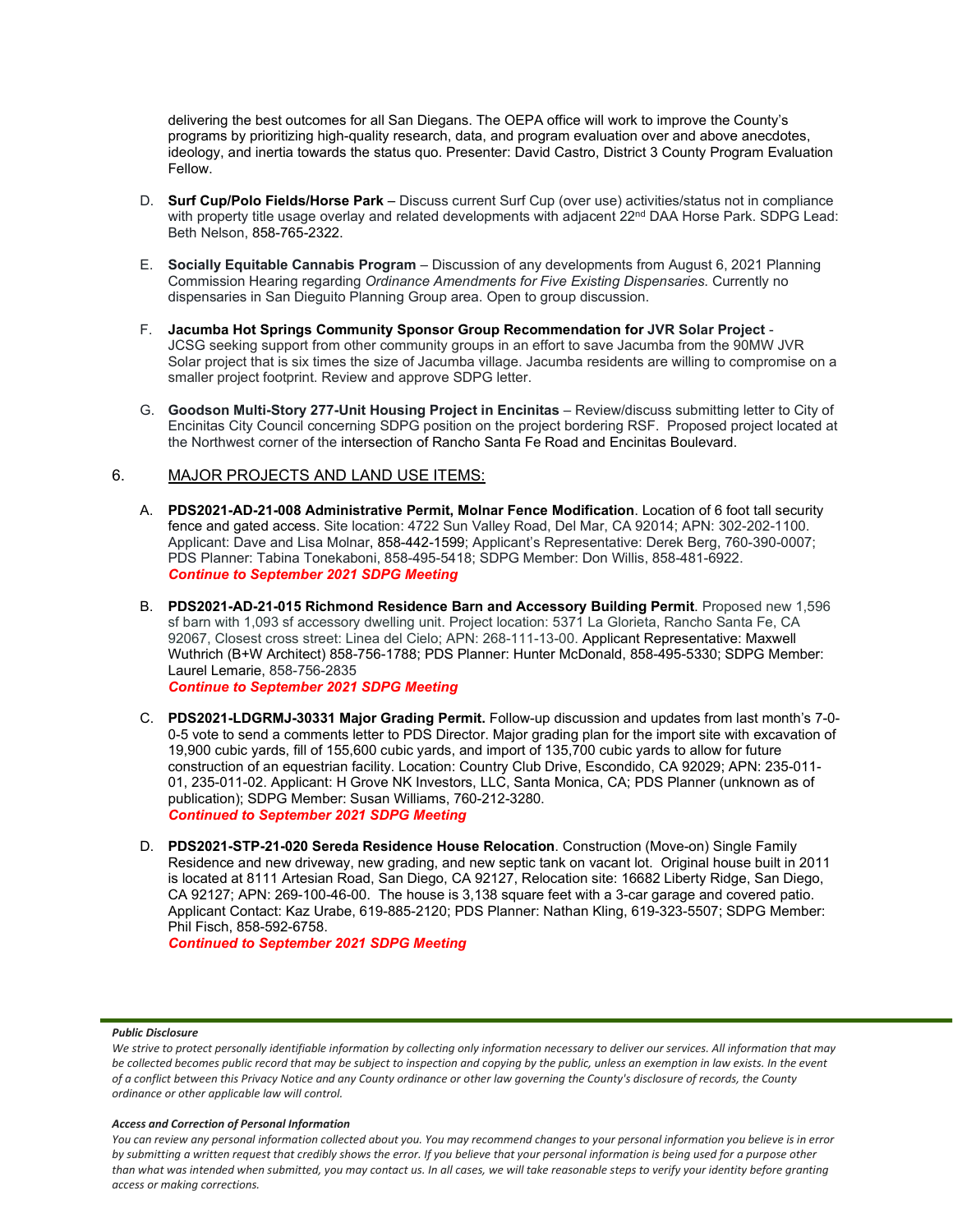delivering the best outcomes for all San Diegans. The OEPA office will work to improve the County's programs by prioritizing high-quality research, data, and program evaluation over and above anecdotes, ideology, and inertia towards the status quo. Presenter: David Castro, District 3 County Program Evaluation Fellow.

- D. **Surf Cup/Polo Fields/Horse Park** Discuss current Surf Cup (over use) activities/status not in compliance with property title usage overlay and related developments with adjacent 22<sup>nd</sup> DAA Horse Park. SDPG Lead: Beth Nelson, 858-765-2322.
- E. **Socially Equitable Cannabis Program** Discussion of any developments from August 6, 2021 Planning Commission Hearing regarding *Ordinance Amendments for Five Existing Dispensaries*. Currently no dispensaries in San Dieguito Planning Group area. Open to group discussion.
- F. **Jacumba Hot Springs Community Sponsor Group Recommendation for JVR Solar Project** JCSG seeking support from other community groups in an effort to save Jacumba from the 90MW JVR Solar project that is six times the size of Jacumba village. Jacumba residents are willing to compromise on a smaller project footprint. Review and approve SDPG letter.
- G. **Goodson Multi-Story 277-Unit Housing Project in Encinitas** Review/discuss submitting letter to City of Encinitas City Council concerning SDPG position on the project bordering RSF. Proposed project located at the Northwest corner of the intersection of Rancho Santa Fe Road and Encinitas Boulevard.

### 6. MAJOR PROJECTS AND LAND USE ITEMS:

- A. **PDS2021-AD-21-008 Administrative Permit, Molnar Fence Modification**. Location of 6 foot tall security fence and gated access. Site location: 4722 Sun Valley Road, Del Mar, CA 92014; APN: 302-202-1100. Applicant: Dave and Lisa Molnar, 858-442-1599; Applicant's Representative: Derek Berg, 760-390-0007; PDS Planner: Tabina Tonekaboni, 858-495-5418; SDPG Member: Don Willis, 858-481-6922. *Continue to September 2021 SDPG Meeting*
- B. **PDS2021-AD-21-015 Richmond Residence Barn and Accessory Building Permit**. Proposed new 1,596 sf barn with 1,093 sf accessory dwelling unit. Project location: 5371 La Glorieta, Rancho Santa Fe, CA 92067, Closest cross street: Linea del Cielo; APN: 268-111-13-00. Applicant Representative: Maxwell Wuthrich (B+W Architect) 858-756-1788; PDS Planner: Hunter McDonald, 858-495-5330; SDPG Member: Laurel Lemarie, 858-756-2835

*Continue to September 2021 SDPG Meeting*

- C. **PDS2021-LDGRMJ-30331 Major Grading Permit.** Follow-up discussion and updates from last month's 7-0- 0-5 vote to send a comments letter to PDS Director. Major grading plan for the import site with excavation of 19,900 cubic yards, fill of 155,600 cubic yards, and import of 135,700 cubic yards to allow for future construction of an equestrian facility. Location: Country Club Drive, Escondido, CA 92029; APN: 235-011- 01, 235-011-02. Applicant: H Grove NK Investors, LLC, Santa Monica, CA; PDS Planner (unknown as of publication); SDPG Member: Susan Williams, 760-212-3280. *Continued to September 2021 SDPG Meeting*
- D. **PDS2021-STP-21-020 Sereda Residence House Relocation**. Construction (Move-on) Single Family Residence and new driveway, new grading, and new septic tank on vacant lot. Original house built in 2011 is located at 8111 Artesian Road, San Diego, CA 92127, Relocation site: 16682 Liberty Ridge, San Diego, CA 92127; APN: 269-100-46-00. The house is 3,138 square feet with a 3-car garage and covered patio. Applicant Contact: Kaz Urabe, 619-885-2120; PDS Planner: Nathan Kling, 619-323-5507; SDPG Member: Phil Fisch, 858-592-6758.

*Continued to September 2021 SDPG Meeting*

#### *Public Disclosure*

#### *Access and Correction of Personal Information*

*You can review any personal information collected about you. You may recommend changes to your personal information you believe is in error by submitting a written request that credibly shows the error. If you believe that your personal information is being used for a purpose other than what was intended when submitted, you may contact us. In all cases, we will take reasonable steps to verify your identity before granting access or making corrections.*

We strive to protect personally identifiable information by collecting only information necessary to deliver our services. All information that may *be collected becomes public record that may be subject to inspection and copying by the public, unless an exemption in law exists. In the event of a conflict between this Privacy Notice and any County ordinance or other law governing the County's disclosure of records, the County ordinance or other applicable law will control.*